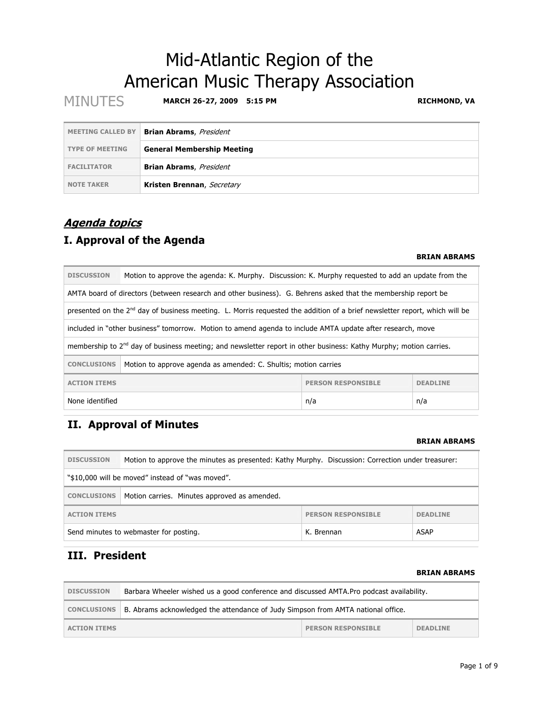# Mid-Atlantic Region of the American Music Therapy Association

| <b>MINUTES</b>           | <b>MARCH 26-27, 2009</b><br>5:15 PM | <b>RICHMOND, VA</b> |
|--------------------------|-------------------------------------|---------------------|
| <b>MEETING CALLED BY</b> | <b>Brian Abrams, President</b>      |                     |
| <b>TYPE OF MEETING</b>   | <b>General Membership Meeting</b>   |                     |
| <b>FACILITATOR</b>       | <b>Brian Abrams</b> , President     |                     |
| <b>NOTE TAKER</b>        | Kristen Brennan, Secretary          |                     |

# **Agenda topics**

# **I. Approval of the Agenda**

#### **BRIAN ABRAMS**

| <b>DISCUSSION</b><br>Motion to approve the agenda: K. Murphy. Discussion: K. Murphy requested to add an update from the |                                                                                                                                        |  |  |  |
|-------------------------------------------------------------------------------------------------------------------------|----------------------------------------------------------------------------------------------------------------------------------------|--|--|--|
|                                                                                                                         | AMTA board of directors (between research and other business). G. Behrens asked that the membership report be                          |  |  |  |
|                                                                                                                         | presented on the 2 <sup>nd</sup> day of business meeting. L. Morris requested the addition of a brief newsletter report, which will be |  |  |  |
|                                                                                                                         | included in "other business" tomorrow. Motion to amend agenda to include AMTA update after research, move                              |  |  |  |
|                                                                                                                         | membership to 2 <sup>nd</sup> day of business meeting; and newsletter report in other business: Kathy Murphy; motion carries.          |  |  |  |
| <b>CONCLUSIONS</b>                                                                                                      | Motion to approve agenda as amended: C. Shultis; motion carries                                                                        |  |  |  |
| <b>ACTION ITEMS</b><br><b>PERSON RESPONSIBLE</b><br><b>DEADLINE</b>                                                     |                                                                                                                                        |  |  |  |
| None identified<br>n/a<br>n/a                                                                                           |                                                                                                                                        |  |  |  |

# **II. Approval of Minutes**

## **BRIAN ABRAMS**

| <b>DISCUSSION</b>                                                  | Motion to approve the minutes as presented: Kathy Murphy. Discussion: Correction under treasurer: |  |  |  |
|--------------------------------------------------------------------|---------------------------------------------------------------------------------------------------|--|--|--|
| "\$10,000 will be moved" instead of "was moved".                   |                                                                                                   |  |  |  |
| Motion carries. Minutes approved as amended.<br><b>CONCLUSIONS</b> |                                                                                                   |  |  |  |
| <b>ACTION ITEMS</b>                                                | <b>PERSON RESPONSIBLE</b><br><b>DEADLINE</b>                                                      |  |  |  |
| ASAP<br>Send minutes to webmaster for posting.<br>K. Brennan       |                                                                                                   |  |  |  |

# **III. President**

#### **BRIAN ABRAMS**

| <b>DISCUSSION</b>   | Barbara Wheeler wished us a good conference and discussed AMTA. Pro podcast availability. |                           |                 |
|---------------------|-------------------------------------------------------------------------------------------|---------------------------|-----------------|
| <b>CONCLUSIONS</b>  | B. Abrams acknowledged the attendance of Judy Simpson from AMTA national office.          |                           |                 |
| <b>ACTION ITEMS</b> |                                                                                           | <b>PERSON RESPONSIBLE</b> | <b>DEADLINE</b> |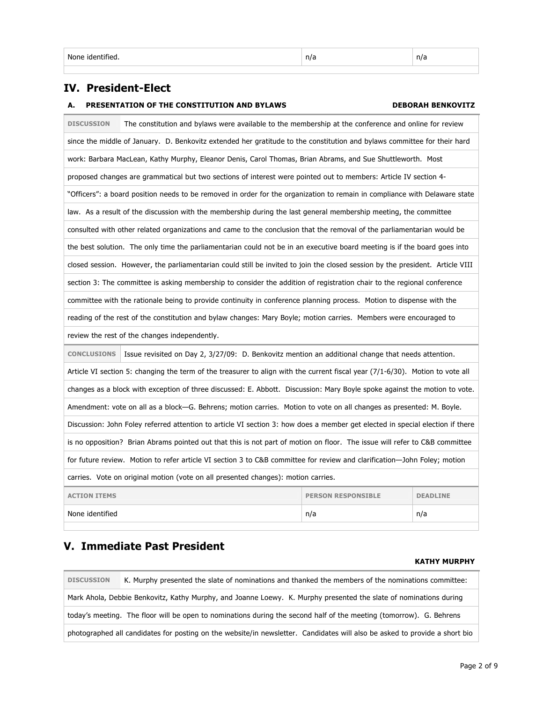## **IV. President-Elect**

## **A. PRESENTATION OF THE CONSTITUTION AND BYLAWS DEBORAH BENKOVITZ**

| <b>DISCUSSION</b>                                                                                                             | The constitution and bylaws were available to the membership at the conference and online for review                          |  |  |  |
|-------------------------------------------------------------------------------------------------------------------------------|-------------------------------------------------------------------------------------------------------------------------------|--|--|--|
| since the middle of January. D. Benkovitz extended her gratitude to the constitution and bylaws committee for their hard      |                                                                                                                               |  |  |  |
|                                                                                                                               | work: Barbara MacLean, Kathy Murphy, Eleanor Denis, Carol Thomas, Brian Abrams, and Sue Shuttleworth. Most                    |  |  |  |
|                                                                                                                               | proposed changes are grammatical but two sections of interest were pointed out to members: Article IV section 4-              |  |  |  |
|                                                                                                                               | "Officers": a board position needs to be removed in order for the organization to remain in compliance with Delaware state    |  |  |  |
|                                                                                                                               | law. As a result of the discussion with the membership during the last general membership meeting, the committee              |  |  |  |
|                                                                                                                               | consulted with other related organizations and came to the conclusion that the removal of the parliamentarian would be        |  |  |  |
|                                                                                                                               | the best solution. The only time the parliamentarian could not be in an executive board meeting is if the board goes into     |  |  |  |
|                                                                                                                               | closed session. However, the parliamentarian could still be invited to join the closed session by the president. Article VIII |  |  |  |
|                                                                                                                               | section 3: The committee is asking membership to consider the addition of registration chair to the regional conference       |  |  |  |
|                                                                                                                               | committee with the rationale being to provide continuity in conference planning process. Motion to dispense with the          |  |  |  |
|                                                                                                                               | reading of the rest of the constitution and bylaw changes: Mary Boyle; motion carries. Members were encouraged to             |  |  |  |
|                                                                                                                               | review the rest of the changes independently.                                                                                 |  |  |  |
| <b>CONCLUSIONS</b><br>Issue revisited on Day 2, 3/27/09: D. Benkovitz mention an additional change that needs attention.      |                                                                                                                               |  |  |  |
|                                                                                                                               | Article VI section 5: changing the term of the treasurer to align with the current fiscal year (7/1-6/30). Motion to vote all |  |  |  |
|                                                                                                                               | changes as a block with exception of three discussed: E. Abbott. Discussion: Mary Boyle spoke against the motion to vote.     |  |  |  |
|                                                                                                                               | Amendment: vote on all as a block-G. Behrens; motion carries. Motion to vote on all changes as presented: M. Boyle.           |  |  |  |
| Discussion: John Foley referred attention to article VI section 3: how does a member get elected in special election if there |                                                                                                                               |  |  |  |
| is no opposition? Brian Abrams pointed out that this is not part of motion on floor. The issue will refer to C&B committee    |                                                                                                                               |  |  |  |
| for future review. Motion to refer article VI section 3 to C&B committee for review and clarification-John Foley; motion      |                                                                                                                               |  |  |  |
| carries. Vote on original motion (vote on all presented changes): motion carries.                                             |                                                                                                                               |  |  |  |
| <b>ACTION ITEMS</b><br><b>PERSON RESPONSIBLE</b><br><b>DEADLINE</b>                                                           |                                                                                                                               |  |  |  |
| None identified<br>n/a<br>n/a                                                                                                 |                                                                                                                               |  |  |  |

## **V. Immediate Past President**

## **KATHY MURPHY**

**DISCUSSION** K. Murphy presented the slate of nominations and thanked the members of the nominations committee: Mark Ahola, Debbie Benkovitz, Kathy Murphy, and Joanne Loewy. K. Murphy presented the slate of nominations during today's meeting. The floor will be open to nominations during the second half of the meeting (tomorrow). G. Behrens photographed all candidates for posting on the website/in newsletter. Candidates will also be asked to provide a short bio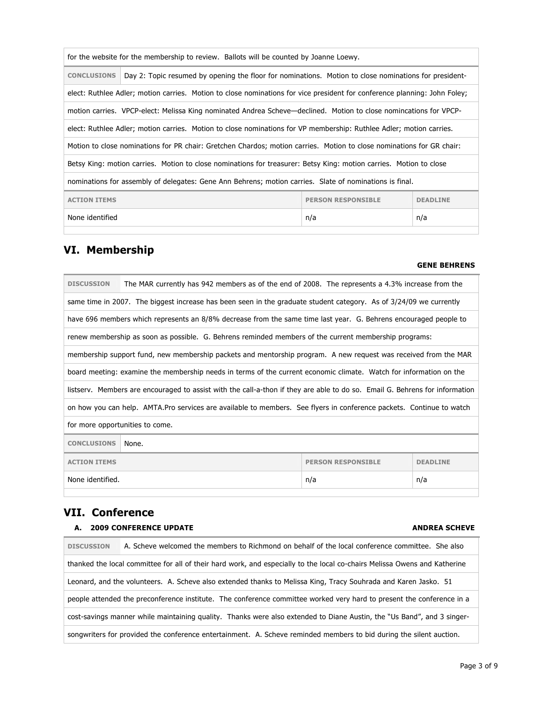| for the website for the membership to review. Ballots will be counted by Joanne Loewy.                  |                                                                                                                           |  |  |  |
|---------------------------------------------------------------------------------------------------------|---------------------------------------------------------------------------------------------------------------------------|--|--|--|
| <b>CONCLUSIONS</b>                                                                                      | Day 2: Topic resumed by opening the floor for nominations. Motion to close nominations for president-                     |  |  |  |
|                                                                                                         | elect: Ruthlee Adler; motion carries. Motion to close nominations for vice president for conference planning: John Foley; |  |  |  |
|                                                                                                         | motion carries. VPCP-elect: Melissa King nominated Andrea Scheve—declined. Motion to close nomincations for VPCP-         |  |  |  |
|                                                                                                         | elect: Ruthlee Adler; motion carries. Motion to close nominations for VP membership: Ruthlee Adler; motion carries.       |  |  |  |
|                                                                                                         | Motion to close nominations for PR chair: Gretchen Chardos; motion carries. Motion to close nominations for GR chair:     |  |  |  |
|                                                                                                         | Betsy King: motion carries. Motion to close nominations for treasurer: Betsy King: motion carries. Motion to close        |  |  |  |
| nominations for assembly of delegates: Gene Ann Behrens; motion carries. Slate of nominations is final. |                                                                                                                           |  |  |  |
| <b>ACTION ITEMS</b><br><b>PERSON RESPONSIBLE</b><br><b>DEADLINE</b>                                     |                                                                                                                           |  |  |  |
| None identified<br>n/a<br>n/a                                                                           |                                                                                                                           |  |  |  |
|                                                                                                         |                                                                                                                           |  |  |  |

# **VI. Membership**

## **GENE BEHRENS**

| <b>DISCUSSION</b>                                                   | The MAR currently has 942 members as of the end of 2008. The represents a 4.3% increase from the                            |  |  |  |
|---------------------------------------------------------------------|-----------------------------------------------------------------------------------------------------------------------------|--|--|--|
|                                                                     | same time in 2007. The biggest increase has been seen in the graduate student category. As of 3/24/09 we currently          |  |  |  |
|                                                                     | have 696 members which represents an 8/8% decrease from the same time last year. G. Behrens encouraged people to            |  |  |  |
|                                                                     | renew membership as soon as possible. G. Behrens reminded members of the current membership programs:                       |  |  |  |
|                                                                     | membership support fund, new membership packets and mentorship program. A new request was received from the MAR             |  |  |  |
|                                                                     | board meeting: examine the membership needs in terms of the current economic climate. Watch for information on the          |  |  |  |
|                                                                     | listserv. Members are encouraged to assist with the call-a-thon if they are able to do so. Email G. Behrens for information |  |  |  |
|                                                                     | on how you can help. AMTA.Pro services are available to members. See flyers in conference packets. Continue to watch        |  |  |  |
|                                                                     | for more opportunities to come.                                                                                             |  |  |  |
| <b>CONCLUSIONS</b><br>None.                                         |                                                                                                                             |  |  |  |
| <b>ACTION ITEMS</b><br><b>PERSON RESPONSIBLE</b><br><b>DEADLINE</b> |                                                                                                                             |  |  |  |
| None identified.<br>n/a<br>n/a                                      |                                                                                                                             |  |  |  |
|                                                                     |                                                                                                                             |  |  |  |

# **VII. Conference**

## **A. 2009 CONFERENCE UPDATE ANDREA SCHEVE**

| <b>DISCUSSION</b> | A. Scheve welcomed the members to Richmond on behalf of the local conference committee. She also                          |  |  |
|-------------------|---------------------------------------------------------------------------------------------------------------------------|--|--|
|                   | thanked the local committee for all of their hard work, and especially to the local co-chairs Melissa Owens and Katherine |  |  |
|                   | Leonard, and the volunteers. A. Scheve also extended thanks to Melissa King, Tracy Souhrada and Karen Jasko. 51           |  |  |
|                   | people attended the preconference institute. The conference committee worked very hard to present the conference in a     |  |  |
|                   | cost-savings manner while maintaining quality. Thanks were also extended to Diane Austin, the "Us Band", and 3 singer-    |  |  |
|                   | songwriters for provided the conference entertainment. A. Scheve reminded members to bid during the silent auction.       |  |  |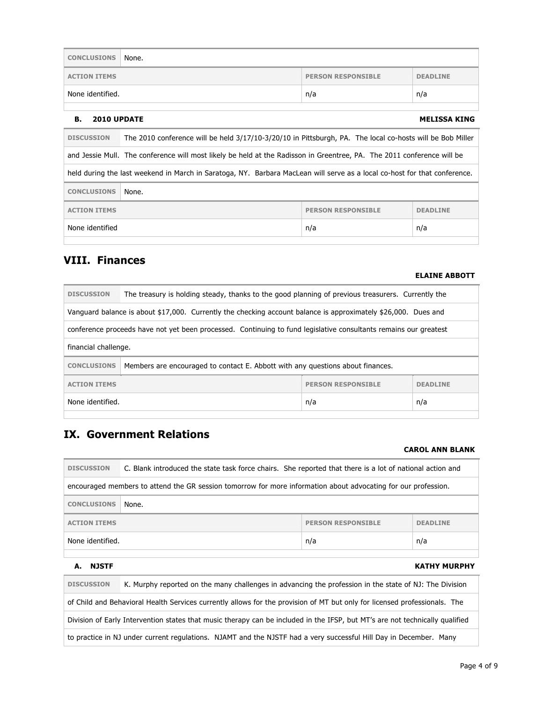| <b>CONCLUSIONS</b>  | None. |                           |                 |
|---------------------|-------|---------------------------|-----------------|
| <b>ACTION ITEMS</b> |       | <b>PERSON RESPONSIBLE</b> | <b>DEADLINE</b> |
| None identified.    |       | n/a                       | n/a             |

#### **B.** 2010 UPDATE MELISSA KING

| The 2010 conference will be held 3/17/10-3/20/10 in Pittsburgh, PA. The local co-hosts will be Bob Miller<br><b>DISCUSSION</b> |  |  |  |  |
|--------------------------------------------------------------------------------------------------------------------------------|--|--|--|--|
| and Jessie Mull. The conference will most likely be held at the Radisson in Greentree, PA. The 2011 conference will be         |  |  |  |  |
| held during the last weekend in March in Saratoga, NY. Barbara MacLean will serve as a local co-host for that conference.      |  |  |  |  |
| <b>CONCLUSIONS</b><br>None.                                                                                                    |  |  |  |  |
| <b>ACTION ITEMS</b><br><b>PERSON RESPONSIBLE</b><br><b>DEADLINE</b>                                                            |  |  |  |  |
| None identified<br>n/a<br>n/a                                                                                                  |  |  |  |  |

## **VIII. Finances**

#### **ELAINE ABBOTT**

| <b>DISCUSSION</b>                                                                                              | The treasury is holding steady, thanks to the good planning of previous treasurers. Currently the                |  |  |  |
|----------------------------------------------------------------------------------------------------------------|------------------------------------------------------------------------------------------------------------------|--|--|--|
| Vanguard balance is about \$17,000. Currently the checking account balance is approximately \$26,000. Dues and |                                                                                                                  |  |  |  |
|                                                                                                                | conference proceeds have not yet been processed. Continuing to fund legislative consultants remains our greatest |  |  |  |
| financial challenge.                                                                                           |                                                                                                                  |  |  |  |
| <b>CONCLUSIONS</b>                                                                                             | Members are encouraged to contact E. Abbott with any questions about finances.                                   |  |  |  |
| <b>PERSON RESPONSIBLE</b><br><b>ACTION ITEMS</b><br><b>DEADLINE</b>                                            |                                                                                                                  |  |  |  |
|                                                                                                                | None identified.<br>n/a<br>n/a                                                                                   |  |  |  |
|                                                                                                                |                                                                                                                  |  |  |  |

## **IX. Government Relations**

#### **CAROL ANN BLANK**

| <b>DISCUSSION</b>                                                                                              | C. Blank introduced the state task force chairs. She reported that there is a lot of national action and |                           |                 |
|----------------------------------------------------------------------------------------------------------------|----------------------------------------------------------------------------------------------------------|---------------------------|-----------------|
| encouraged members to attend the GR session tomorrow for more information about advocating for our profession. |                                                                                                          |                           |                 |
| <b>CONCLUSIONS</b>                                                                                             | None.                                                                                                    |                           |                 |
| <b>ACTION ITEMS</b>                                                                                            |                                                                                                          | <b>PERSON RESPONSTBLE</b> | <b>DEADLINE</b> |
| None identified.                                                                                               |                                                                                                          | n/a                       | n/a             |
|                                                                                                                |                                                                                                          |                           |                 |

## **A. NJSTF KATHY MURPHY**

**DISCUSSION** K. Murphy reported on the many challenges in advancing the profession in the state of NJ: The Division of Child and Behavioral Health Services currently allows for the provision of MT but only for licensed professionals. The

Division of Early Intervention states that music therapy can be included in the IFSP, but MT's are not technically qualified

to practice in NJ under current regulations. NJAMT and the NJSTF had a very successful Hill Day in December. Many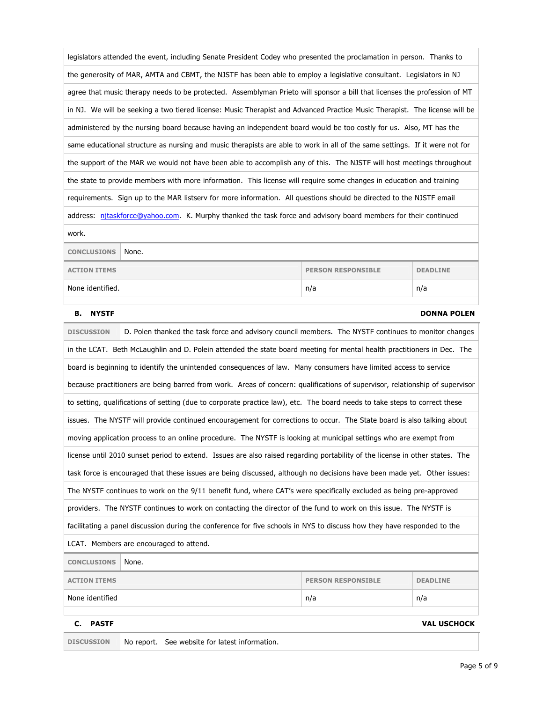|                                                                                                                           | legislators attended the event, including Senate President Codey who presented the proclamation in person. Thanks to         |                           |                    |  |
|---------------------------------------------------------------------------------------------------------------------------|------------------------------------------------------------------------------------------------------------------------------|---------------------------|--------------------|--|
|                                                                                                                           | the generosity of MAR, AMTA and CBMT, the NJSTF has been able to employ a legislative consultant. Legislators in NJ          |                           |                    |  |
|                                                                                                                           | agree that music therapy needs to be protected. Assemblyman Prieto will sponsor a bill that licenses the profession of MT    |                           |                    |  |
|                                                                                                                           | in NJ. We will be seeking a two tiered license: Music Therapist and Advanced Practice Music Therapist. The license will be   |                           |                    |  |
|                                                                                                                           | administered by the nursing board because having an independent board would be too costly for us. Also, MT has the           |                           |                    |  |
|                                                                                                                           | same educational structure as nursing and music therapists are able to work in all of the same settings. If it were not for  |                           |                    |  |
|                                                                                                                           | the support of the MAR we would not have been able to accomplish any of this. The NJSTF will host meetings throughout        |                           |                    |  |
|                                                                                                                           | the state to provide members with more information. This license will require some changes in education and training         |                           |                    |  |
|                                                                                                                           | requirements. Sign up to the MAR listserv for more information. All questions should be directed to the NJSTF email          |                           |                    |  |
|                                                                                                                           | address: nitaskforce@yahoo.com. K. Murphy thanked the task force and advisory board members for their continued              |                           |                    |  |
| work.                                                                                                                     |                                                                                                                              |                           |                    |  |
| <b>CONCLUSIONS</b>                                                                                                        | None.                                                                                                                        |                           |                    |  |
| <b>ACTION ITEMS</b>                                                                                                       |                                                                                                                              | <b>PERSON RESPONSIBLE</b> | <b>DEADLINE</b>    |  |
| None identified.                                                                                                          |                                                                                                                              | n/a                       | n/a                |  |
| <b>NYSTF</b><br>в.                                                                                                        |                                                                                                                              |                           | <b>DONNA POLEN</b> |  |
| <b>DISCUSSION</b><br>D. Polen thanked the task force and advisory council members. The NYSTF continues to monitor changes |                                                                                                                              |                           |                    |  |
|                                                                                                                           |                                                                                                                              |                           |                    |  |
|                                                                                                                           | in the LCAT. Beth McLaughlin and D. Polein attended the state board meeting for mental health practitioners in Dec. The      |                           |                    |  |
|                                                                                                                           | board is beginning to identify the unintended consequences of law. Many consumers have limited access to service             |                           |                    |  |
|                                                                                                                           | because practitioners are being barred from work. Areas of concern: qualifications of supervisor, relationship of supervisor |                           |                    |  |
|                                                                                                                           | to setting, qualifications of setting (due to corporate practice law), etc. The board needs to take steps to correct these   |                           |                    |  |
|                                                                                                                           | issues. The NYSTF will provide continued encouragement for corrections to occur. The State board is also talking about       |                           |                    |  |
|                                                                                                                           | moving application process to an online procedure. The NYSTF is looking at municipal settings who are exempt from            |                           |                    |  |
|                                                                                                                           | license until 2010 sunset period to extend. Issues are also raised regarding portability of the license in other states. The |                           |                    |  |
|                                                                                                                           | task force is encouraged that these issues are being discussed, although no decisions have been made yet. Other issues:      |                           |                    |  |
|                                                                                                                           | The NYSTF continues to work on the 9/11 benefit fund, where CAT's were specifically excluded as being pre-approved           |                           |                    |  |
|                                                                                                                           | providers. The NYSTF continues to work on contacting the director of the fund to work on this issue. The NYSTF is            |                           |                    |  |
|                                                                                                                           | facilitating a panel discussion during the conference for five schools in NYS to discuss how they have responded to the      |                           |                    |  |
|                                                                                                                           | LCAT. Members are encouraged to attend.                                                                                      |                           |                    |  |
| <b>CONCLUSIONS</b>                                                                                                        | None.                                                                                                                        |                           |                    |  |

None identified n/a n/a

**C. PASTF VAL USCHOCK**

**DISCUSSION** No report. See website for latest information.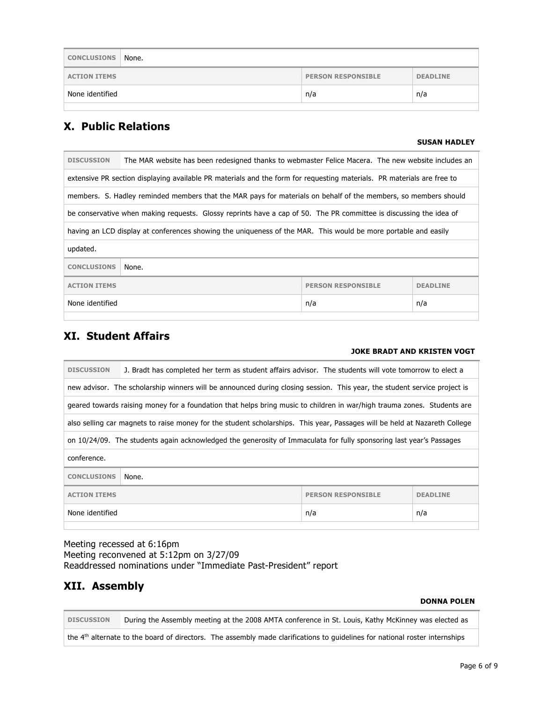| <b>CONCLUSIONS</b>            | None.                                        |  |  |
|-------------------------------|----------------------------------------------|--|--|
| <b>ACTION ITEMS</b>           | <b>PERSON RESPONSIBLE</b><br><b>DEADLINE</b> |  |  |
| None identified<br>n/a<br>n/a |                                              |  |  |

## **X. Public Relations**

### **SUSAN HADLEY**

| <b>DISCUSSION</b>                                                   | The MAR website has been redesigned thanks to webmaster Felice Macera. The new website includes an                     |  |  |  |
|---------------------------------------------------------------------|------------------------------------------------------------------------------------------------------------------------|--|--|--|
|                                                                     | extensive PR section displaying available PR materials and the form for requesting materials. PR materials are free to |  |  |  |
|                                                                     | members. S. Hadley reminded members that the MAR pays for materials on behalf of the members, so members should        |  |  |  |
|                                                                     | be conservative when making requests. Glossy reprints have a cap of 50. The PR committee is discussing the idea of     |  |  |  |
|                                                                     | having an LCD display at conferences showing the uniqueness of the MAR. This would be more portable and easily         |  |  |  |
| updated.                                                            |                                                                                                                        |  |  |  |
| <b>CONCLUSIONS</b>                                                  | None.                                                                                                                  |  |  |  |
| <b>ACTION ITEMS</b><br><b>PERSON RESPONSIBLE</b><br><b>DEADLINE</b> |                                                                                                                        |  |  |  |
| None identified<br>n/a<br>n/a                                       |                                                                                                                        |  |  |  |
|                                                                     |                                                                                                                        |  |  |  |

# **XI. Student Affairs**

## **JOKE BRADT AND KRISTEN VOGT**

| <b>DISCUSSION</b>                                                   | J. Bradt has completed her term as student affairs advisor. The students will vote tomorrow to elect a                     |  |  |  |
|---------------------------------------------------------------------|----------------------------------------------------------------------------------------------------------------------------|--|--|--|
|                                                                     | new advisor. The scholarship winners will be announced during closing session. This year, the student service project is   |  |  |  |
|                                                                     | geared towards raising money for a foundation that helps bring music to children in war/high trauma zones. Students are    |  |  |  |
|                                                                     | also selling car magnets to raise money for the student scholarships. This year, Passages will be held at Nazareth College |  |  |  |
|                                                                     | on 10/24/09. The students again acknowledged the generosity of Immaculata for fully sponsoring last year's Passages        |  |  |  |
| conference.                                                         |                                                                                                                            |  |  |  |
| <b>CONCLUSIONS</b><br>None.                                         |                                                                                                                            |  |  |  |
| <b>ACTION ITEMS</b><br><b>PERSON RESPONSIBLE</b><br><b>DEADLINE</b> |                                                                                                                            |  |  |  |
| None identified<br>n/a<br>n/a                                       |                                                                                                                            |  |  |  |

Meeting recessed at 6:16pm Meeting reconvened at 5:12pm on 3/27/09 Readdressed nominations under "Immediate Past-President" report

# **XII. Assembly**

### **DONNA POLEN**

**DISCUSSION** During the Assembly meeting at the 2008 AMTA conference in St. Louis, Kathy McKinney was elected as the 4<sup>th</sup> alternate to the board of directors. The assembly made clarifications to guidelines for national roster internships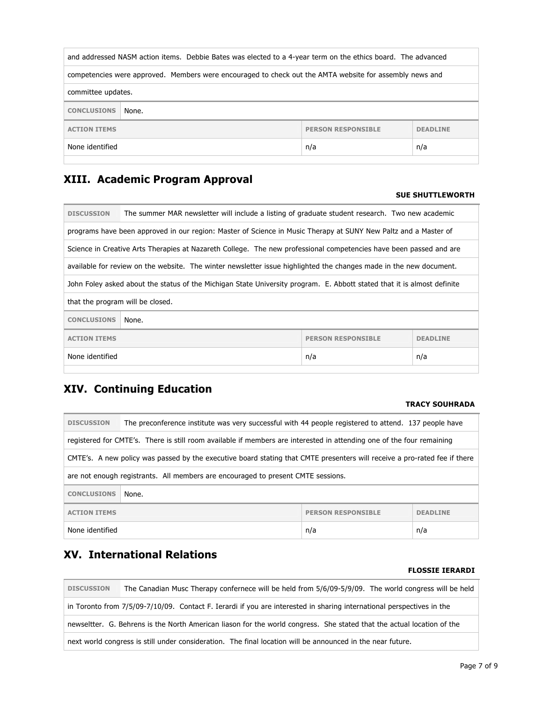| and addressed NASM action items. Debbie Bates was elected to a 4-year term on the ethics board. The advanced |       |  |  |
|--------------------------------------------------------------------------------------------------------------|-------|--|--|
| competencies were approved. Members were encouraged to check out the AMTA website for assembly news and      |       |  |  |
| committee updates.                                                                                           |       |  |  |
| <b>CONCLUSIONS</b>                                                                                           | None. |  |  |
| <b>ACTION ITEMS</b><br><b>PERSON RESPONSIBLE</b><br><b>DEADLINE</b>                                          |       |  |  |
| None identified<br>n/a<br>n/a                                                                                |       |  |  |

# **XIII. Academic Program Approval**

### **SUE SHUTTLEWORTH**

| <b>DISCUSSION</b>                                                   | The summer MAR newsletter will include a listing of graduate student research. Two new academic                         |  |  |  |
|---------------------------------------------------------------------|-------------------------------------------------------------------------------------------------------------------------|--|--|--|
|                                                                     | programs have been approved in our region: Master of Science in Music Therapy at SUNY New Paltz and a Master of         |  |  |  |
|                                                                     | Science in Creative Arts Therapies at Nazareth College. The new professional competencies have been passed and are      |  |  |  |
|                                                                     | available for review on the website. The winter newsletter issue highlighted the changes made in the new document.      |  |  |  |
|                                                                     | John Foley asked about the status of the Michigan State University program. E. Abbott stated that it is almost definite |  |  |  |
|                                                                     | that the program will be closed.                                                                                        |  |  |  |
| <b>CONCLUSIONS</b><br>None.                                         |                                                                                                                         |  |  |  |
| <b>ACTION ITEMS</b><br><b>PERSON RESPONSIBLE</b><br><b>DEADLINE</b> |                                                                                                                         |  |  |  |
| None identified<br>n/a<br>n/a                                       |                                                                                                                         |  |  |  |
|                                                                     |                                                                                                                         |  |  |  |

# **XIV. Continuing Education**

#### **TRACY SOUHRADA**

| <b>DISCUSSION</b>                                                   | The preconference institute was very successful with 44 people registered to attend. 137 people have                      |  |  |  |
|---------------------------------------------------------------------|---------------------------------------------------------------------------------------------------------------------------|--|--|--|
|                                                                     | registered for CMTE's. There is still room available if members are interested in attending one of the four remaining     |  |  |  |
|                                                                     | CMTE's. A new policy was passed by the executive board stating that CMTE presenters will receive a pro-rated fee if there |  |  |  |
|                                                                     | are not enough registrants. All members are encouraged to present CMTE sessions.                                          |  |  |  |
| <b>CONCLUSIONS</b><br>None.                                         |                                                                                                                           |  |  |  |
| <b>PERSON RESPONSIBLE</b><br><b>ACTION ITEMS</b><br><b>DEADLINE</b> |                                                                                                                           |  |  |  |
| None identified<br>n/a<br>n/a                                       |                                                                                                                           |  |  |  |

# **XV. International Relations**

## **FLOSSIE IERARDI**

| <b>DISCUSSION</b>                                                                                          | The Canadian Musc Therapy confernece will be held from 5/6/09-5/9/09. The world congress will be held                  |  |
|------------------------------------------------------------------------------------------------------------|------------------------------------------------------------------------------------------------------------------------|--|
|                                                                                                            | in Toronto from 7/5/09-7/10/09. Contact F. Ierardi if you are interested in sharing international perspectives in the  |  |
|                                                                                                            | newseltter. G. Behrens is the North American liason for the world congress. She stated that the actual location of the |  |
| next world congress is still under consideration. The final location will be announced in the near future. |                                                                                                                        |  |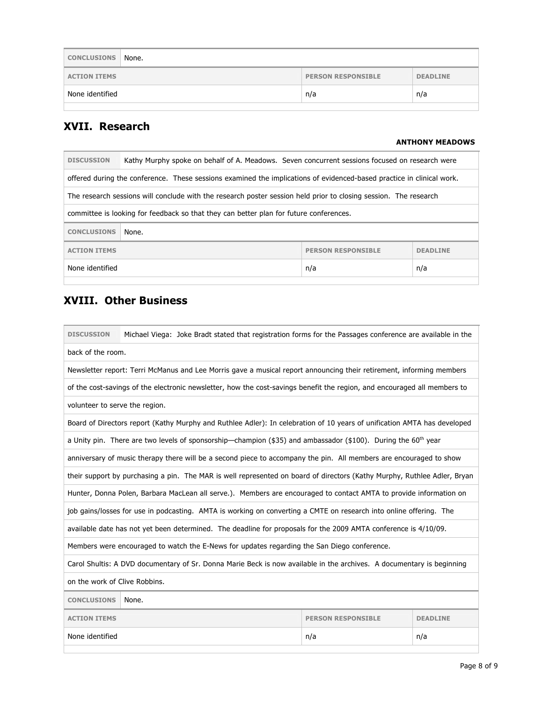| <b>CONCLUSIONS</b>  | None. |                           |                 |
|---------------------|-------|---------------------------|-----------------|
| <b>ACTION ITEMS</b> |       | <b>PERSON RESPONSIBLE</b> | <b>DEADLINE</b> |
| None identified     |       | n/a                       | n/a             |
|                     |       |                           |                 |

# **XVII. Research**

## **ANTHONY MEADOWS**

| <b>DISCUSSION</b>                                                   | Kathy Murphy spoke on behalf of A. Meadows. Seven concurrent sessions focused on research were                        |  |  |  |
|---------------------------------------------------------------------|-----------------------------------------------------------------------------------------------------------------------|--|--|--|
|                                                                     | offered during the conference. These sessions examined the implications of evidenced-based practice in clinical work. |  |  |  |
|                                                                     | The research sessions will conclude with the research poster session held prior to closing session. The research      |  |  |  |
|                                                                     | committee is looking for feedback so that they can better plan for future conferences.                                |  |  |  |
| <b>CONCLUSIONS</b>                                                  | None.                                                                                                                 |  |  |  |
| <b>PERSON RESPONSIBLE</b><br><b>ACTION ITEMS</b><br><b>DEADLINE</b> |                                                                                                                       |  |  |  |
| None identified<br>n/a<br>n/a                                       |                                                                                                                       |  |  |  |
|                                                                     |                                                                                                                       |  |  |  |

# **XVIII. Other Business**

| <b>DISCUSSION</b>                                                   | Michael Viega: Joke Bradt stated that registration forms for the Passages conference are available in the                 |     |     |  |
|---------------------------------------------------------------------|---------------------------------------------------------------------------------------------------------------------------|-----|-----|--|
| back of the room.                                                   |                                                                                                                           |     |     |  |
|                                                                     | Newsletter report: Terri McManus and Lee Morris gave a musical report announcing their retirement, informing members      |     |     |  |
|                                                                     | of the cost-savings of the electronic newsletter, how the cost-savings benefit the region, and encouraged all members to  |     |     |  |
| volunteer to serve the region.                                      |                                                                                                                           |     |     |  |
|                                                                     | Board of Directors report (Kathy Murphy and Ruthlee Adler): In celebration of 10 years of unification AMTA has developed  |     |     |  |
|                                                                     | a Unity pin. There are two levels of sponsorship—champion (\$35) and ambassador (\$100). During the 60 <sup>th</sup> year |     |     |  |
|                                                                     | anniversary of music therapy there will be a second piece to accompany the pin. All members are encouraged to show        |     |     |  |
|                                                                     | their support by purchasing a pin. The MAR is well represented on board of directors (Kathy Murphy, Ruthlee Adler, Bryan  |     |     |  |
|                                                                     | Hunter, Donna Polen, Barbara MacLean all serve.). Members are encouraged to contact AMTA to provide information on        |     |     |  |
|                                                                     | job gains/losses for use in podcasting. AMTA is working on converting a CMTE on research into online offering. The        |     |     |  |
|                                                                     | available date has not yet been determined. The deadline for proposals for the 2009 AMTA conference is 4/10/09.           |     |     |  |
|                                                                     | Members were encouraged to watch the E-News for updates regarding the San Diego conference.                               |     |     |  |
|                                                                     | Carol Shultis: A DVD documentary of Sr. Donna Marie Beck is now available in the archives. A documentary is beginning     |     |     |  |
| on the work of Clive Robbins.                                       |                                                                                                                           |     |     |  |
| <b>CONCLUSIONS</b><br>None.                                         |                                                                                                                           |     |     |  |
| <b>ACTION ITEMS</b><br><b>PERSON RESPONSIBLE</b><br><b>DEADLINE</b> |                                                                                                                           |     |     |  |
| None identified                                                     |                                                                                                                           | n/a | n/a |  |
|                                                                     |                                                                                                                           |     |     |  |